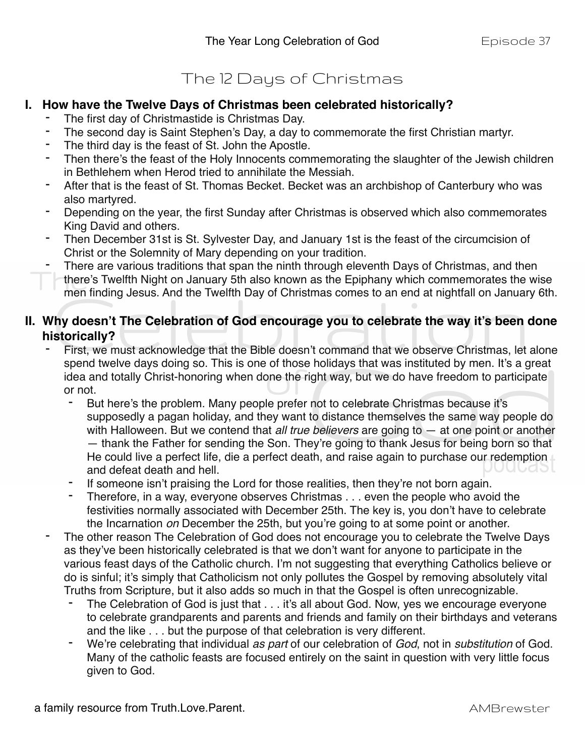## The 12 Days of Christmas

## **I. How have the Twelve Days of Christmas been celebrated historically?**

- The first day of Christmastide is Christmas Day.
- The second day is Saint Stephen's Day, a day to commemorate the first Christian martyr.
- The third day is the feast of St. John the Apostle.
- Then there's the feast of the Holy Innocents commemorating the slaughter of the Jewish children in Bethlehem when Herod tried to annihilate the Messiah.
- After that is the feast of St. Thomas Becket. Becket was an archbishop of Canterbury who was also martyred.
- Depending on the year, the first Sunday after Christmas is observed which also commemorates King David and others.
- Then December 31st is St. Sylvester Day, and January 1st is the feast of the circumcision of Christ or the Solemnity of Mary depending on your tradition.
- There are various traditions that span the ninth through eleventh Days of Christmas, and then there's Twelfth Night on January 5th also known as the Epiphany which commemorates the wise men finding Jesus. And the Twelfth Day of Christmas comes to an end at nightfall on January 6th.

## **II. Why doesn't The Celebration of God encourage you to celebrate the way it's been done historically?**

- First, we must acknowledge that the Bible doesn't command that we observe Christmas, let alone spend twelve days doing so. This is one of those holidays that was instituted by men. It's a great idea and totally Christ-honoring when done the right way, but we do have freedom to participate or not.
	- But here's the problem. Many people prefer not to celebrate Christmas because it's supposedly a pagan holiday, and they want to distance themselves the same way people do with Halloween. But we contend that *all true believers* are going to — at one point or another — thank the Father for sending the Son. They're going to thank Jesus for being born so that He could live a perfect life, die a perfect death, and raise again to purchase our redemption and defeat death and hell.
	- If someone isn't praising the Lord for those realities, then they're not born again.
	- Therefore, in a way, everyone observes Christmas . . . even the people who avoid the festivities normally associated with December 25th. The key is, you don't have to celebrate the Incarnation *on* December the 25th, but you're going to at some point or another.
- The other reason The Celebration of God does not encourage you to celebrate the Twelve Days as they've been historically celebrated is that we don't want for anyone to participate in the various feast days of the Catholic church. I'm not suggesting that everything Catholics believe or do is sinful; it's simply that Catholicism not only pollutes the Gospel by removing absolutely vital Truths from Scripture, but it also adds so much in that the Gospel is often unrecognizable.
	- The Celebration of God is just that . . . it's all about God. Now, yes we encourage everyone to celebrate grandparents and parents and friends and family on their birthdays and veterans and the like . . . but the purpose of that celebration is very different.
	- We're celebrating that individual *as part* of our celebration of *God*, not in *substitution* of God. Many of the catholic feasts are focused entirely on the saint in question with very little focus given to God.